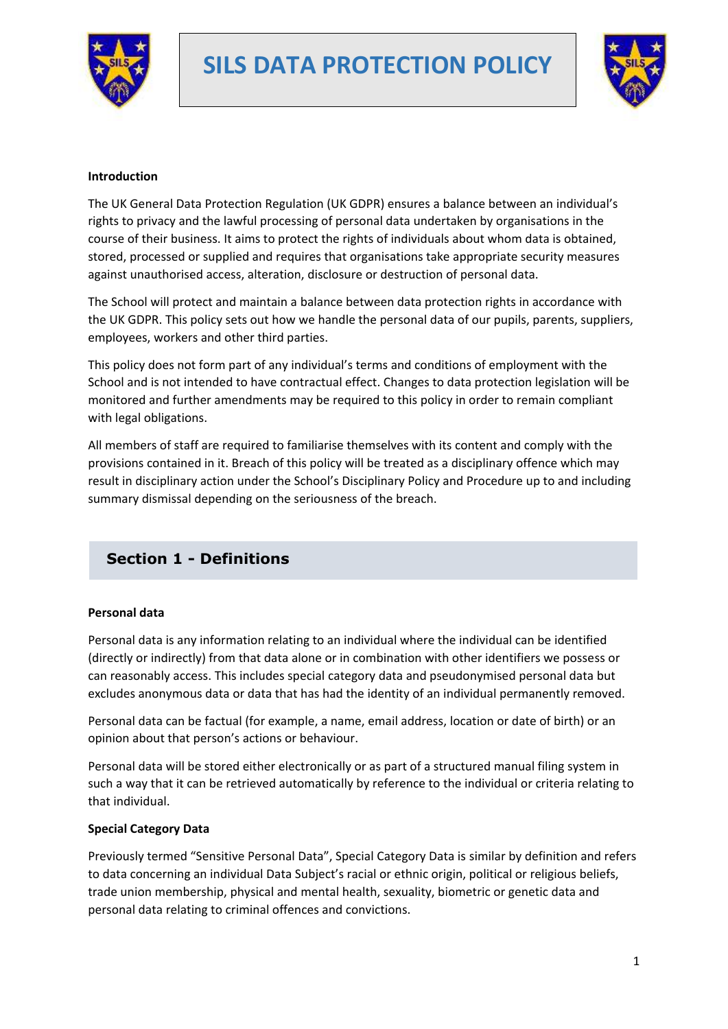

# **SILS DATA PROTECTION POLICY**



#### **Introduction**

The UK General Data Protection Regulation (UK GDPR) ensures a balance between an individual's rights to privacy and the lawful processing of personal data undertaken by organisations in the course of their business. It aims to protect the rights of individuals about whom data is obtained, stored, processed or supplied and requires that organisations take appropriate security measures against unauthorised access, alteration, disclosure or destruction of personal data.

The School will protect and maintain a balance between data protection rights in accordance with the UK GDPR. This policy sets out how we handle the personal data of our pupils, parents, suppliers, employees, workers and other third parties.

This policy does not form part of any individual's terms and conditions of employment with the School and is not intended to have contractual effect. Changes to data protection legislation will be monitored and further amendments may be required to this policy in order to remain compliant with legal obligations.

All members of staff are required to familiarise themselves with its content and comply with the provisions contained in it. Breach of this policy will be treated as a disciplinary offence which may result in disciplinary action under the School's Disciplinary Policy and Procedure up to and including summary dismissal depending on the seriousness of the breach.

# **Section 1 - Definitions**

#### **Personal data**

Personal data is any information relating to an individual where the individual can be identified (directly or indirectly) from that data alone or in combination with other identifiers we possess or can reasonably access. This includes special category data and pseudonymised personal data but excludes anonymous data or data that has had the identity of an individual permanently removed.

Personal data can be factual (for example, a name, email address, location or date of birth) or an opinion about that person's actions or behaviour.

Personal data will be stored either electronically or as part of a structured manual filing system in such a way that it can be retrieved automatically by reference to the individual or criteria relating to that individual.

#### **Special Category Data**

Previously termed "Sensitive Personal Data", Special Category Data is similar by definition and refers to data concerning an individual Data Subject's racial or ethnic origin, political or religious beliefs, trade union membership, physical and mental health, sexuality, biometric or genetic data and personal data relating to criminal offences and convictions.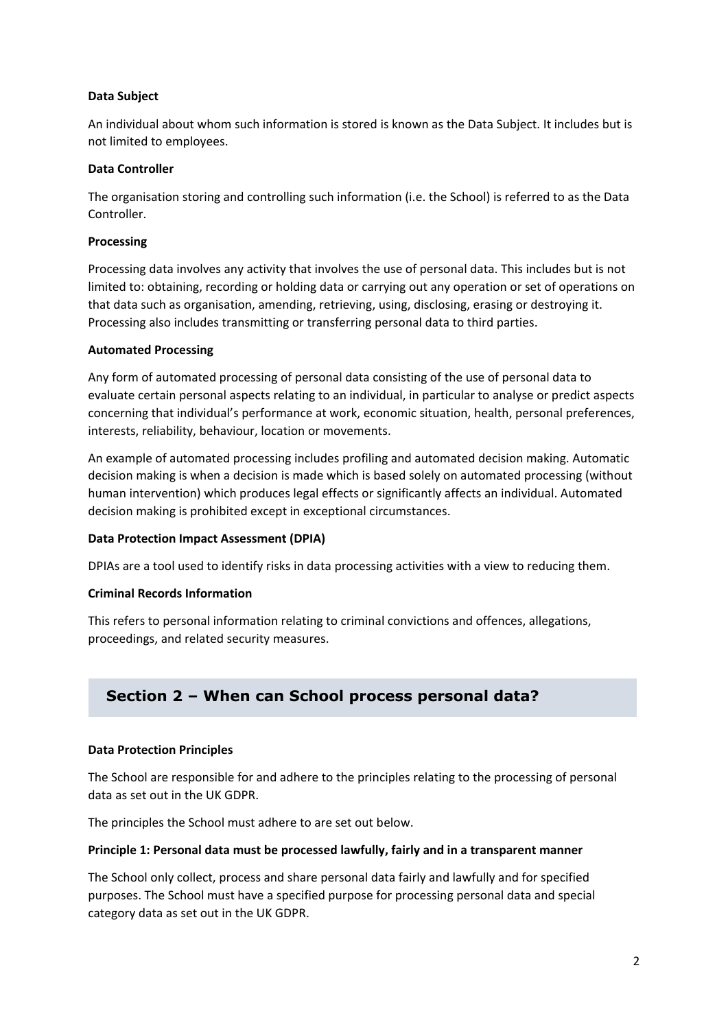#### **Data Subject**

An individual about whom such information is stored is known as the Data Subject. It includes but is not limited to employees.

#### **Data Controller**

The organisation storing and controlling such information (i.e. the School) is referred to as the Data Controller.

#### **Processing**

Processing data involves any activity that involves the use of personal data. This includes but is not limited to: obtaining, recording or holding data or carrying out any operation or set of operations on that data such as organisation, amending, retrieving, using, disclosing, erasing or destroying it. Processing also includes transmitting or transferring personal data to third parties.

#### **Automated Processing**

Any form of automated processing of personal data consisting of the use of personal data to evaluate certain personal aspects relating to an individual, in particular to analyse or predict aspects concerning that individual's performance at work, economic situation, health, personal preferences, interests, reliability, behaviour, location or movements.

An example of automated processing includes profiling and automated decision making. Automatic decision making is when a decision is made which is based solely on automated processing (without human intervention) which produces legal effects or significantly affects an individual. Automated decision making is prohibited except in exceptional circumstances.

# **Data Protection Impact Assessment (DPIA)**

DPIAs are a tool used to identify risks in data processing activities with a view to reducing them.

#### **Criminal Records Information**

This refers to personal information relating to criminal convictions and offences, allegations, proceedings, and related security measures.

# **Section 2 – When can School process personal data?**

#### **Data Protection Principles**

The School are responsible for and adhere to the principles relating to the processing of personal data as set out in the UK GDPR.

The principles the School must adhere to are set out below.

#### **Principle 1: Personal data must be processed lawfully, fairly and in a transparent manner**

The School only collect, process and share personal data fairly and lawfully and for specified purposes. The School must have a specified purpose for processing personal data and special category data as set out in the UK GDPR.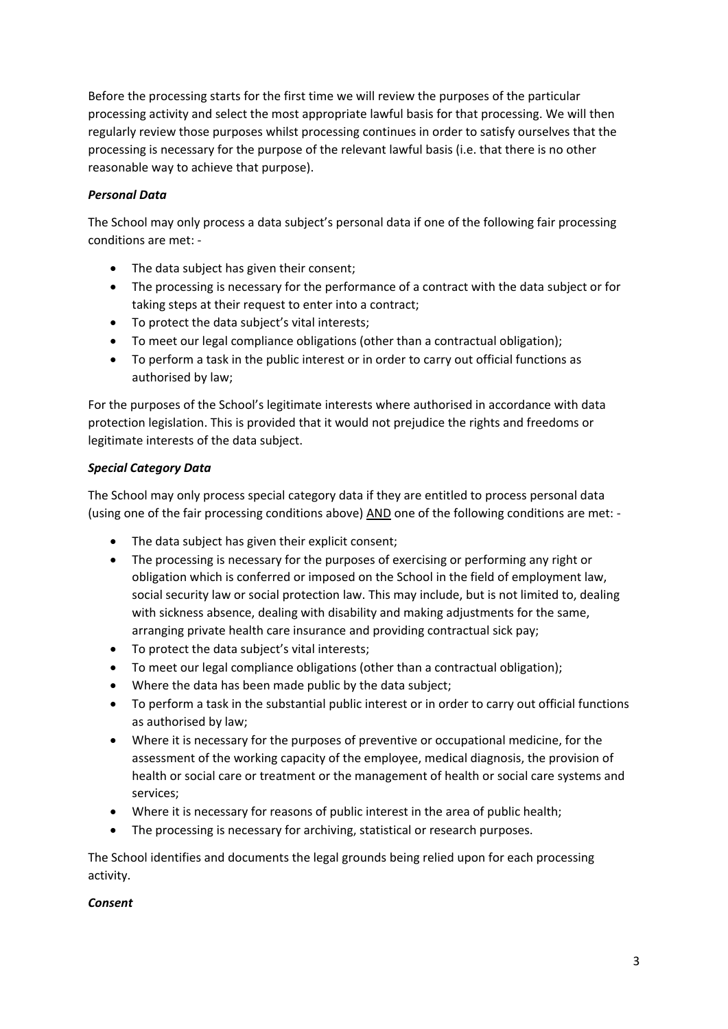Before the processing starts for the first time we will review the purposes of the particular processing activity and select the most appropriate lawful basis for that processing. We will then regularly review those purposes whilst processing continues in order to satisfy ourselves that the processing is necessary for the purpose of the relevant lawful basis (i.e. that there is no other reasonable way to achieve that purpose).

# *Personal Data*

The School may only process a data subject's personal data if one of the following fair processing conditions are met: -

- The data subject has given their consent;
- The processing is necessary for the performance of a contract with the data subject or for taking steps at their request to enter into a contract;
- To protect the data subject's vital interests;
- To meet our legal compliance obligations (other than a contractual obligation);
- To perform a task in the public interest or in order to carry out official functions as authorised by law;

For the purposes of the School's legitimate interests where authorised in accordance with data protection legislation. This is provided that it would not prejudice the rights and freedoms or legitimate interests of the data subject.

# *Special Category Data*

The School may only process special category data if they are entitled to process personal data (using one of the fair processing conditions above) AND one of the following conditions are met: -

- The data subject has given their explicit consent;
- The processing is necessary for the purposes of exercising or performing any right or obligation which is conferred or imposed on the School in the field of employment law, social security law or social protection law. This may include, but is not limited to, dealing with sickness absence, dealing with disability and making adjustments for the same, arranging private health care insurance and providing contractual sick pay;
- To protect the data subject's vital interests;
- To meet our legal compliance obligations (other than a contractual obligation);
- Where the data has been made public by the data subject;
- To perform a task in the substantial public interest or in order to carry out official functions as authorised by law;
- Where it is necessary for the purposes of preventive or occupational medicine, for the assessment of the working capacity of the employee, medical diagnosis, the provision of health or social care or treatment or the management of health or social care systems and services;
- Where it is necessary for reasons of public interest in the area of public health;
- The processing is necessary for archiving, statistical or research purposes.

The School identifies and documents the legal grounds being relied upon for each processing activity.

# *Consent*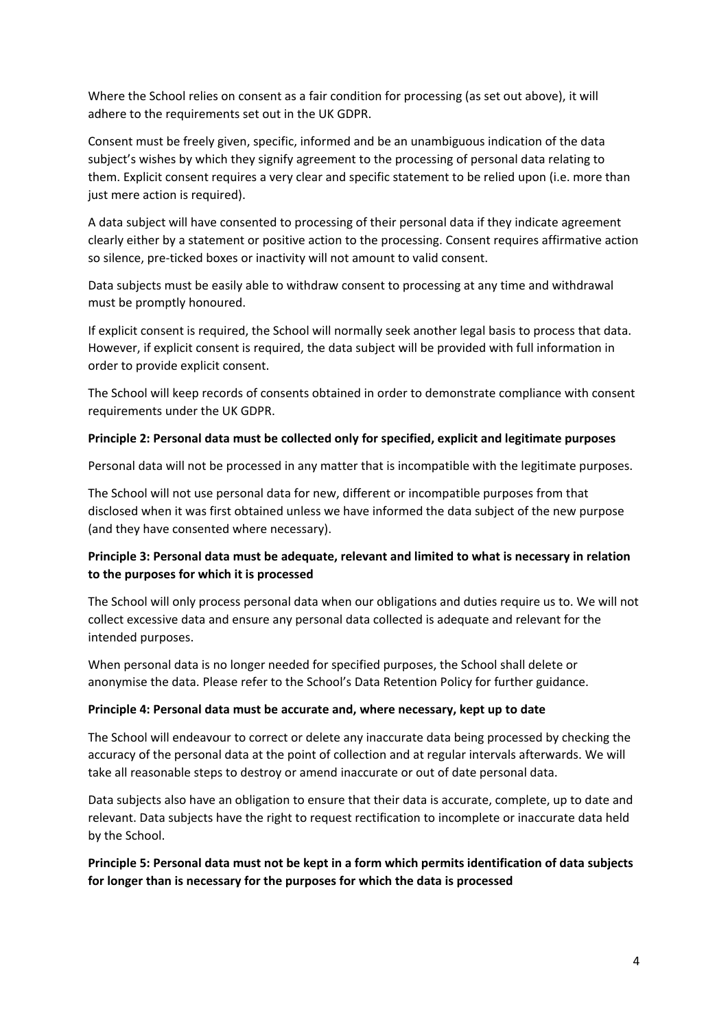Where the School relies on consent as a fair condition for processing (as set out above), it will adhere to the requirements set out in the UK GDPR.

Consent must be freely given, specific, informed and be an unambiguous indication of the data subject's wishes by which they signify agreement to the processing of personal data relating to them. Explicit consent requires a very clear and specific statement to be relied upon (i.e. more than just mere action is required).

A data subject will have consented to processing of their personal data if they indicate agreement clearly either by a statement or positive action to the processing. Consent requires affirmative action so silence, pre-ticked boxes or inactivity will not amount to valid consent.

Data subjects must be easily able to withdraw consent to processing at any time and withdrawal must be promptly honoured.

If explicit consent is required, the School will normally seek another legal basis to process that data. However, if explicit consent is required, the data subject will be provided with full information in order to provide explicit consent.

The School will keep records of consents obtained in order to demonstrate compliance with consent requirements under the UK GDPR.

#### **Principle 2: Personal data must be collected only for specified, explicit and legitimate purposes**

Personal data will not be processed in any matter that is incompatible with the legitimate purposes.

The School will not use personal data for new, different or incompatible purposes from that disclosed when it was first obtained unless we have informed the data subject of the new purpose (and they have consented where necessary).

# **Principle 3: Personal data must be adequate, relevant and limited to what is necessary in relation to the purposes for which it is processed**

The School will only process personal data when our obligations and duties require us to. We will not collect excessive data and ensure any personal data collected is adequate and relevant for the intended purposes.

When personal data is no longer needed for specified purposes, the School shall delete or anonymise the data. Please refer to the School's Data Retention Policy for further guidance.

#### **Principle 4: Personal data must be accurate and, where necessary, kept up to date**

The School will endeavour to correct or delete any inaccurate data being processed by checking the accuracy of the personal data at the point of collection and at regular intervals afterwards. We will take all reasonable steps to destroy or amend inaccurate or out of date personal data.

Data subjects also have an obligation to ensure that their data is accurate, complete, up to date and relevant. Data subjects have the right to request rectification to incomplete or inaccurate data held by the School.

# **Principle 5: Personal data must not be kept in a form which permits identification of data subjects for longer than is necessary for the purposes for which the data is processed**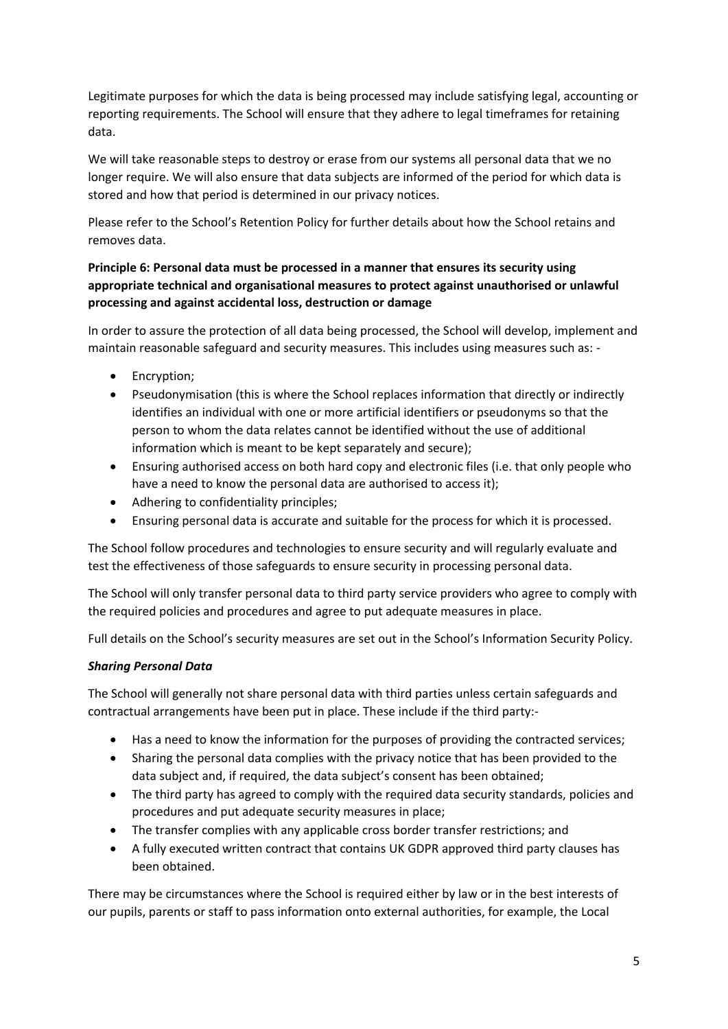Legitimate purposes for which the data is being processed may include satisfying legal, accounting or reporting requirements. The School will ensure that they adhere to legal timeframes for retaining data.

We will take reasonable steps to destroy or erase from our systems all personal data that we no longer require. We will also ensure that data subjects are informed of the period for which data is stored and how that period is determined in our privacy notices.

Please refer to the School's Retention Policy for further details about how the School retains and removes data.

# **Principle 6: Personal data must be processed in a manner that ensures its security using appropriate technical and organisational measures to protect against unauthorised or unlawful processing and against accidental loss, destruction or damage**

In order to assure the protection of all data being processed, the School will develop, implement and maintain reasonable safeguard and security measures. This includes using measures such as: -

- Encryption;
- Pseudonymisation (this is where the School replaces information that directly or indirectly identifies an individual with one or more artificial identifiers or pseudonyms so that the person to whom the data relates cannot be identified without the use of additional information which is meant to be kept separately and secure);
- Ensuring authorised access on both hard copy and electronic files (i.e. that only people who have a need to know the personal data are authorised to access it);
- Adhering to confidentiality principles;
- Ensuring personal data is accurate and suitable for the process for which it is processed.

The School follow procedures and technologies to ensure security and will regularly evaluate and test the effectiveness of those safeguards to ensure security in processing personal data.

The School will only transfer personal data to third party service providers who agree to comply with the required policies and procedures and agree to put adequate measures in place.

Full details on the School's security measures are set out in the School's Information Security Policy.

# *Sharing Personal Data*

The School will generally not share personal data with third parties unless certain safeguards and contractual arrangements have been put in place. These include if the third party:-

- Has a need to know the information for the purposes of providing the contracted services;
- Sharing the personal data complies with the privacy notice that has been provided to the data subject and, if required, the data subject's consent has been obtained;
- The third party has agreed to comply with the required data security standards, policies and procedures and put adequate security measures in place;
- The transfer complies with any applicable cross border transfer restrictions; and
- A fully executed written contract that contains UK GDPR approved third party clauses has been obtained.

There may be circumstances where the School is required either by law or in the best interests of our pupils, parents or staff to pass information onto external authorities, for example, the Local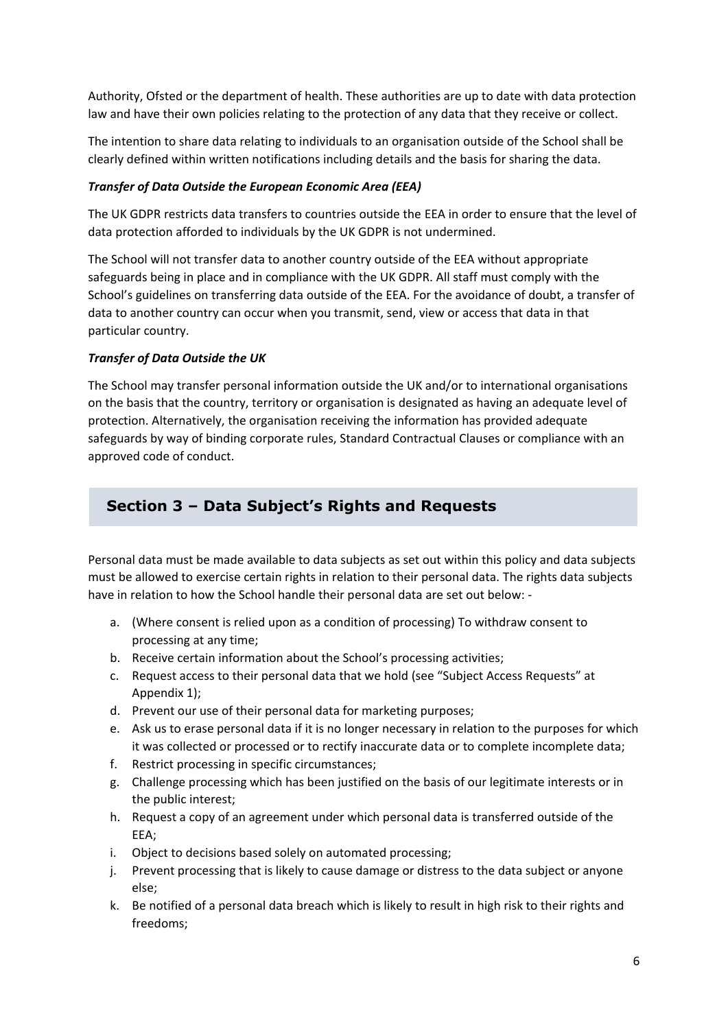Authority, Ofsted or the department of health. These authorities are up to date with data protection law and have their own policies relating to the protection of any data that they receive or collect.

The intention to share data relating to individuals to an organisation outside of the School shall be clearly defined within written notifications including details and the basis for sharing the data.

#### *Transfer of Data Outside the European Economic Area (EEA)*

The UK GDPR restricts data transfers to countries outside the EEA in order to ensure that the level of data protection afforded to individuals by the UK GDPR is not undermined.

The School will not transfer data to another country outside of the EEA without appropriate safeguards being in place and in compliance with the UK GDPR. All staff must comply with the School's guidelines on transferring data outside of the EEA. For the avoidance of doubt, a transfer of data to another country can occur when you transmit, send, view or access that data in that particular country.

#### *Transfer of Data Outside the UK*

The School may transfer personal information outside the UK and/or to international organisations on the basis that the country, territory or organisation is designated as having an adequate level of protection. Alternatively, the organisation receiving the information has provided adequate safeguards by way of binding corporate rules, Standard Contractual Clauses or compliance with an approved code of conduct.

# **Section 3 – Data Subject's Rights and Requests**

Personal data must be made available to data subjects as set out within this policy and data subjects must be allowed to exercise certain rights in relation to their personal data. The rights data subjects have in relation to how the School handle their personal data are set out below: -

- a. (Where consent is relied upon as a condition of processing) To withdraw consent to processing at any time;
- b. Receive certain information about the School's processing activities;
- c. Request access to their personal data that we hold (see "Subject Access Requests" at Appendix 1);
- d. Prevent our use of their personal data for marketing purposes;
- e. Ask us to erase personal data if it is no longer necessary in relation to the purposes for which it was collected or processed or to rectify inaccurate data or to complete incomplete data;
- f. Restrict processing in specific circumstances;
- g. Challenge processing which has been justified on the basis of our legitimate interests or in the public interest;
- h. Request a copy of an agreement under which personal data is transferred outside of the EEA;
- i. Object to decisions based solely on automated processing;
- j. Prevent processing that is likely to cause damage or distress to the data subject or anyone else;
- k. Be notified of a personal data breach which is likely to result in high risk to their rights and freedoms;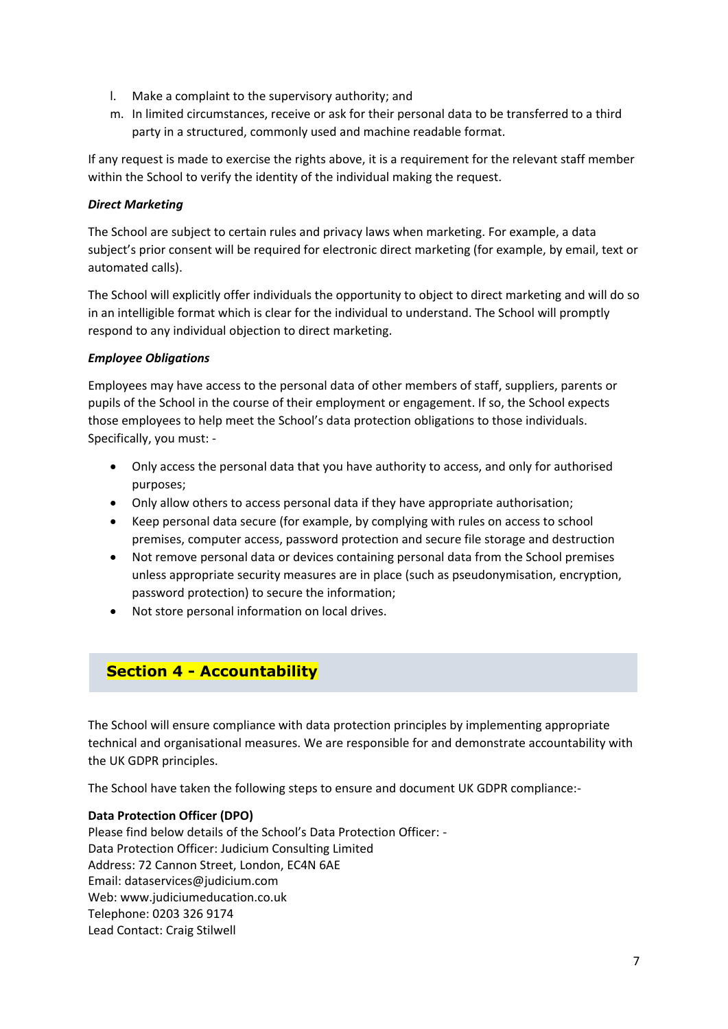- l. Make a complaint to the supervisory authority; and
- m. In limited circumstances, receive or ask for their personal data to be transferred to a third party in a structured, commonly used and machine readable format.

If any request is made to exercise the rights above, it is a requirement for the relevant staff member within the School to verify the identity of the individual making the request.

# *Direct Marketing*

The School are subject to certain rules and privacy laws when marketing. For example, a data subject's prior consent will be required for electronic direct marketing (for example, by email, text or automated calls).

The School will explicitly offer individuals the opportunity to object to direct marketing and will do so in an intelligible format which is clear for the individual to understand. The School will promptly respond to any individual objection to direct marketing.

# *Employee Obligations*

Employees may have access to the personal data of other members of staff, suppliers, parents or pupils of the School in the course of their employment or engagement. If so, the School expects those employees to help meet the School's data protection obligations to those individuals. Specifically, you must: -

- Only access the personal data that you have authority to access, and only for authorised purposes;
- Only allow others to access personal data if they have appropriate authorisation;
- Keep personal data secure (for example, by complying with rules on access to school premises, computer access, password protection and secure file storage and destruction
- Not remove personal data or devices containing personal data from the School premises unless appropriate security measures are in place (such as pseudonymisation, encryption, password protection) to secure the information;
- Not store personal information on local drives.

# **Section 4 - Accountability**

The School will ensure compliance with data protection principles by implementing appropriate technical and organisational measures. We are responsible for and demonstrate accountability with the UK GDPR principles.

The School have taken the following steps to ensure and document UK GDPR compliance:-

# **Data Protection Officer (DPO)**

Please find below details of the School's Data Protection Officer: - Data Protection Officer: Judicium Consulting Limited Address: 72 Cannon Street, London, EC4N 6AE Email: [dataservices@judicium.com](mailto:dataservices@judicium.com) Web: www.judiciumeducation.co.uk Telephone: 0203 326 9174 Lead Contact: Craig Stilwell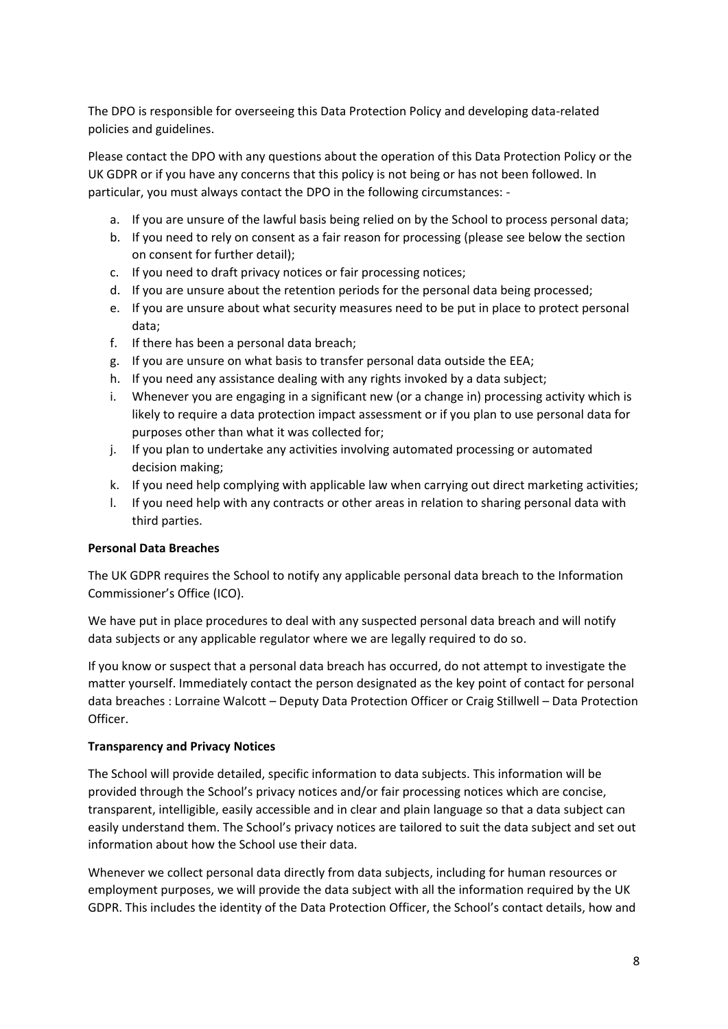The DPO is responsible for overseeing this Data Protection Policy and developing data-related policies and guidelines.

Please contact the DPO with any questions about the operation of this Data Protection Policy or the UK GDPR or if you have any concerns that this policy is not being or has not been followed. In particular, you must always contact the DPO in the following circumstances: -

- a. If you are unsure of the lawful basis being relied on by the School to process personal data;
- b. If you need to rely on consent as a fair reason for processing (please see below the section on consent for further detail);
- c. If you need to draft privacy notices or fair processing notices;
- d. If you are unsure about the retention periods for the personal data being processed;
- e. If you are unsure about what security measures need to be put in place to protect personal data;
- f. If there has been a personal data breach;
- g. If you are unsure on what basis to transfer personal data outside the EEA;
- h. If you need any assistance dealing with any rights invoked by a data subject;
- i. Whenever you are engaging in a significant new (or a change in) processing activity which is likely to require a data protection impact assessment or if you plan to use personal data for purposes other than what it was collected for;
- j. If you plan to undertake any activities involving automated processing or automated decision making;
- k. If you need help complying with applicable law when carrying out direct marketing activities;
- l. If you need help with any contracts or other areas in relation to sharing personal data with third parties.

# **Personal Data Breaches**

The UK GDPR requires the School to notify any applicable personal data breach to the Information Commissioner's Office (ICO).

We have put in place procedures to deal with any suspected personal data breach and will notify data subjects or any applicable regulator where we are legally required to do so.

If you know or suspect that a personal data breach has occurred, do not attempt to investigate the matter yourself. Immediately contact the person designated as the key point of contact for personal data breaches : Lorraine Walcott – Deputy Data Protection Officer or Craig Stillwell – Data Protection Officer.

#### **Transparency and Privacy Notices**

The School will provide detailed, specific information to data subjects. This information will be provided through the School's privacy notices and/or fair processing notices which are concise, transparent, intelligible, easily accessible and in clear and plain language so that a data subject can easily understand them. The School's privacy notices are tailored to suit the data subject and set out information about how the School use their data.

Whenever we collect personal data directly from data subjects, including for human resources or employment purposes, we will provide the data subject with all the information required by the UK GDPR. This includes the identity of the Data Protection Officer, the School's contact details, how and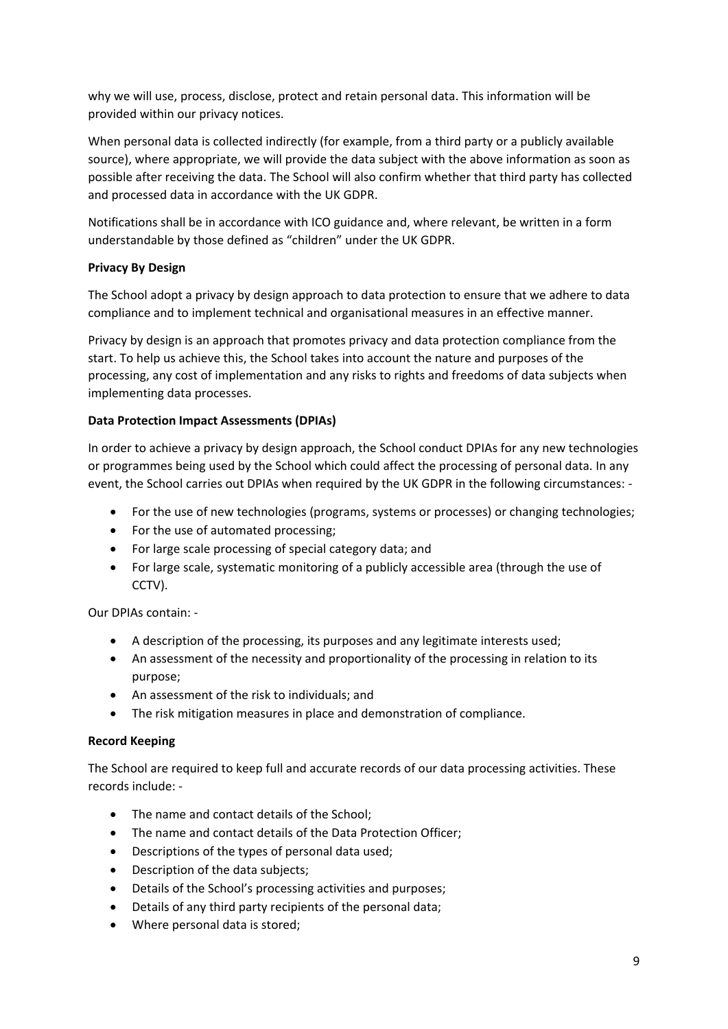why we will use, process, disclose, protect and retain personal data. This information will be provided within our privacy notices.

When personal data is collected indirectly (for example, from a third party or a publicly available source), where appropriate, we will provide the data subject with the above information as soon as possible after receiving the data. The School will also confirm whether that third party has collected and processed data in accordance with the UK GDPR.

Notifications shall be in accordance with ICO guidance and, where relevant, be written in a form understandable by those defined as "children" under the UK GDPR.

# **Privacy By Design**

The School adopt a privacy by design approach to data protection to ensure that we adhere to data compliance and to implement technical and organisational measures in an effective manner.

Privacy by design is an approach that promotes privacy and data protection compliance from the start. To help us achieve this, the School takes into account the nature and purposes of the processing, any cost of implementation and any risks to rights and freedoms of data subjects when implementing data processes.

# **Data Protection Impact Assessments (DPIAs)**

In order to achieve a privacy by design approach, the School conduct DPIAs for any new technologies or programmes being used by the School which could affect the processing of personal data. In any event, the School carries out DPIAs when required by the UK GDPR in the following circumstances: -

- For the use of new technologies (programs, systems or processes) or changing technologies;
- For the use of automated processing;
- For large scale processing of special category data; and
- For large scale, systematic monitoring of a publicly accessible area (through the use of CCTV).

Our DPIAs contain: -

- A description of the processing, its purposes and any legitimate interests used;
- An assessment of the necessity and proportionality of the processing in relation to its purpose;
- An assessment of the risk to individuals; and
- The risk mitigation measures in place and demonstration of compliance.

# **Record Keeping**

The School are required to keep full and accurate records of our data processing activities. These records include: -

- The name and contact details of the School;
- The name and contact details of the Data Protection Officer;
- Descriptions of the types of personal data used;
- Description of the data subjects;
- Details of the School's processing activities and purposes;
- Details of any third party recipients of the personal data;
- Where personal data is stored;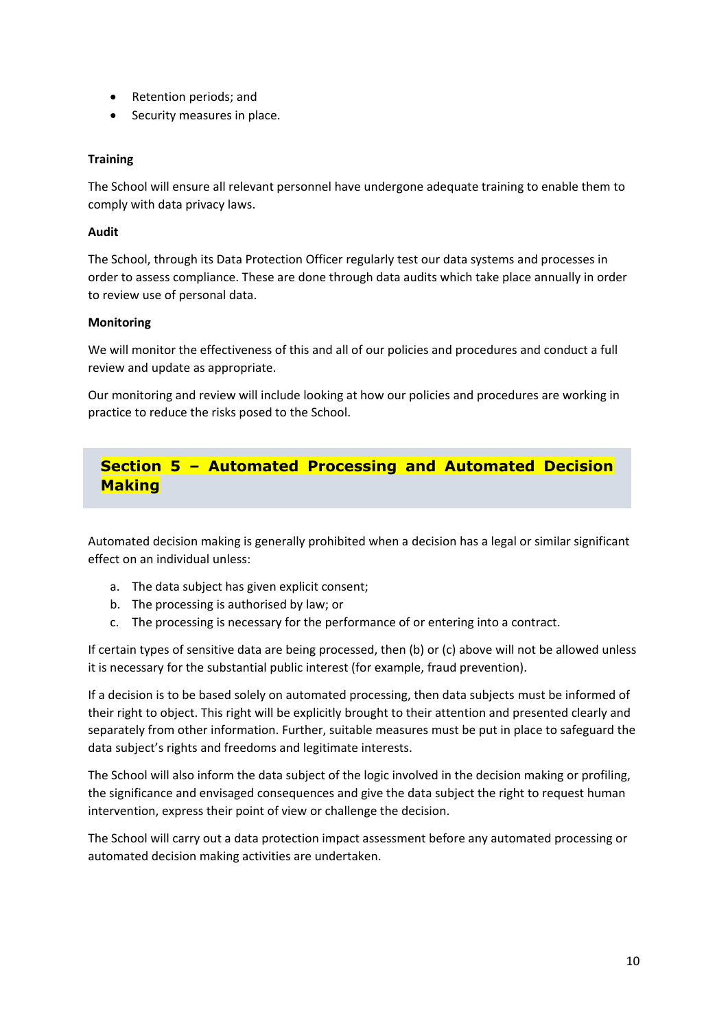- Retention periods; and
- Security measures in place.

# **Training**

The School will ensure all relevant personnel have undergone adequate training to enable them to comply with data privacy laws.

#### **Audit**

The School, through its Data Protection Officer regularly test our data systems and processes in order to assess compliance. These are done through data audits which take place annually in order to review use of personal data.

#### **Monitoring**

We will monitor the effectiveness of this and all of our policies and procedures and conduct a full review and update as appropriate.

Our monitoring and review will include looking at how our policies and procedures are working in practice to reduce the risks posed to the School.

# **Section 5 – Automated Processing and Automated Decision Making**

Automated decision making is generally prohibited when a decision has a legal or similar significant effect on an individual unless:

- a. The data subject has given explicit consent;
- b. The processing is authorised by law; or
- c. The processing is necessary for the performance of or entering into a contract.

If certain types of sensitive data are being processed, then (b) or (c) above will not be allowed unless it is necessary for the substantial public interest (for example, fraud prevention).

If a decision is to be based solely on automated processing, then data subjects must be informed of their right to object. This right will be explicitly brought to their attention and presented clearly and separately from other information. Further, suitable measures must be put in place to safeguard the data subject's rights and freedoms and legitimate interests.

The School will also inform the data subject of the logic involved in the decision making or profiling, the significance and envisaged consequences and give the data subject the right to request human intervention, express their point of view or challenge the decision.

The School will carry out a data protection impact assessment before any automated processing or automated decision making activities are undertaken.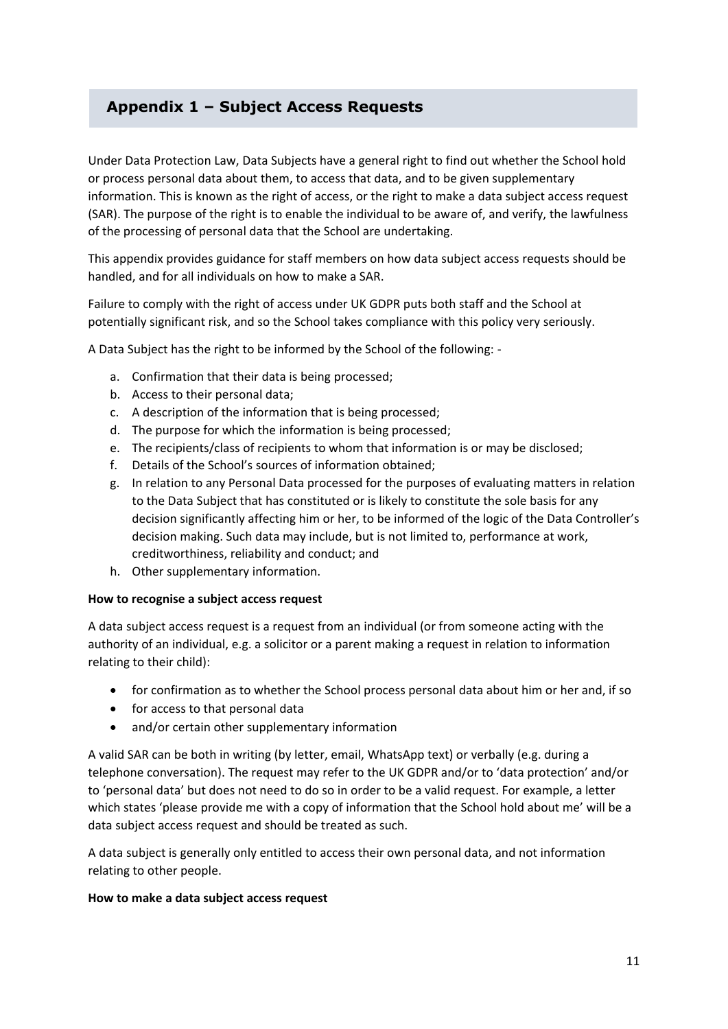# **Appendix 1 – Subject Access Requests**

Under Data Protection Law, Data Subjects have a general right to find out whether the School hold or process personal data about them, to access that data, and to be given supplementary information. This is known as the right of access, or the right to make a data subject access request (SAR). The purpose of the right is to enable the individual to be aware of, and verify, the lawfulness of the processing of personal data that the School are undertaking.

This appendix provides guidance for staff members on how data subject access requests should be handled, and for all individuals on how to make a SAR.

Failure to comply with the right of access under UK GDPR puts both staff and the School at potentially significant risk, and so the School takes compliance with this policy very seriously.

A Data Subject has the right to be informed by the School of the following: -

- a. Confirmation that their data is being processed;
- b. Access to their personal data;
- c. A description of the information that is being processed;
- d. The purpose for which the information is being processed;
- e. The recipients/class of recipients to whom that information is or may be disclosed;
- f. Details of the School's sources of information obtained;
- g. In relation to any Personal Data processed for the purposes of evaluating matters in relation to the Data Subject that has constituted or is likely to constitute the sole basis for any decision significantly affecting him or her, to be informed of the logic of the Data Controller's decision making. Such data may include, but is not limited to, performance at work, creditworthiness, reliability and conduct; and
- h. Other supplementary information.

#### **How to recognise a subject access request**

A data subject access request is a request from an individual (or from someone acting with the authority of an individual, e.g. a solicitor or a parent making a request in relation to information relating to their child):

- for confirmation as to whether the School process personal data about him or her and, if so
- for access to that personal data
- and/or certain other supplementary information

A valid SAR can be both in writing (by letter, email, WhatsApp text) or verbally (e.g. during a telephone conversation). The request may refer to the UK GDPR and/or to 'data protection' and/or to 'personal data' but does not need to do so in order to be a valid request. For example, a letter which states 'please provide me with a copy of information that the School hold about me' will be a data subject access request and should be treated as such.

A data subject is generally only entitled to access their own personal data, and not information relating to other people.

#### **How to make a data subject access request**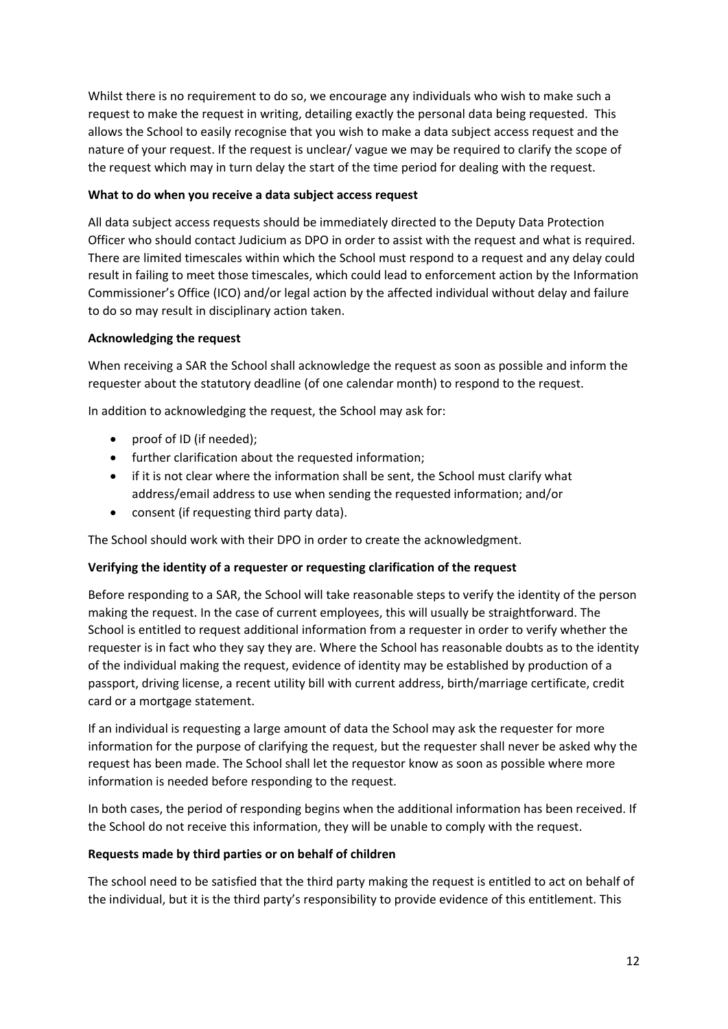Whilst there is no requirement to do so, we encourage any individuals who wish to make such a request to make the request in writing, detailing exactly the personal data being requested. This allows the School to easily recognise that you wish to make a data subject access request and the nature of your request. If the request is unclear/ vague we may be required to clarify the scope of the request which may in turn delay the start of the time period for dealing with the request.

# **What to do when you receive a data subject access request**

All data subject access requests should be immediately directed to the Deputy Data Protection Officer who should contact Judicium as DPO in order to assist with the request and what is required. There are limited timescales within which the School must respond to a request and any delay could result in failing to meet those timescales, which could lead to enforcement action by the Information Commissioner's Office (ICO) and/or legal action by the affected individual without delay and failure to do so may result in disciplinary action taken.

# **Acknowledging the request**

When receiving a SAR the School shall acknowledge the request as soon as possible and inform the requester about the statutory deadline (of one calendar month) to respond to the request.

In addition to acknowledging the request, the School may ask for:

- proof of ID (if needed);
- further clarification about the requested information;
- if it is not clear where the information shall be sent, the School must clarify what address/email address to use when sending the requested information; and/or
- consent (if requesting third party data).

The School should work with their DPO in order to create the acknowledgment.

# **Verifying the identity of a requester or requesting clarification of the request**

Before responding to a SAR, the School will take reasonable steps to verify the identity of the person making the request. In the case of current employees, this will usually be straightforward. The School is entitled to request additional information from a requester in order to verify whether the requester is in fact who they say they are. Where the School has reasonable doubts as to the identity of the individual making the request, evidence of identity may be established by production of a passport, driving license, a recent utility bill with current address, birth/marriage certificate, credit card or a mortgage statement.

If an individual is requesting a large amount of data the School may ask the requester for more information for the purpose of clarifying the request, but the requester shall never be asked why the request has been made. The School shall let the requestor know as soon as possible where more information is needed before responding to the request.

In both cases, the period of responding begins when the additional information has been received. If the School do not receive this information, they will be unable to comply with the request.

# **Requests made by third parties or on behalf of children**

The school need to be satisfied that the third party making the request is entitled to act on behalf of the individual, but it is the third party's responsibility to provide evidence of this entitlement. This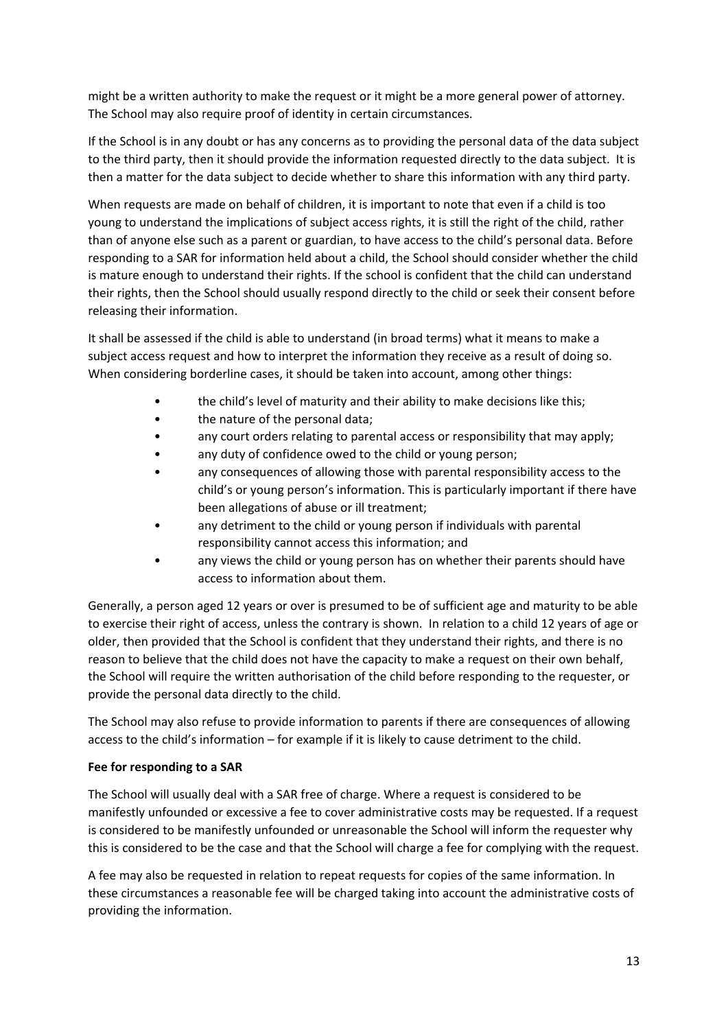might be a written authority to make the request or it might be a more general power of attorney. The School may also require proof of identity in certain circumstances.

If the School is in any doubt or has any concerns as to providing the personal data of the data subject to the third party, then it should provide the information requested directly to the data subject. It is then a matter for the data subject to decide whether to share this information with any third party.

When requests are made on behalf of children, it is important to note that even if a child is too young to understand the implications of subject access rights, it is still the right of the child, rather than of anyone else such as a parent or guardian, to have access to the child's personal data. Before responding to a SAR for information held about a child, the School should consider whether the child is mature enough to understand their rights. If the school is confident that the child can understand their rights, then the School should usually respond directly to the child or seek their consent before releasing their information.

It shall be assessed if the child is able to understand (in broad terms) what it means to make a subject access request and how to interpret the information they receive as a result of doing so. When considering borderline cases, it should be taken into account, among other things:

- the child's level of maturity and their ability to make decisions like this;
- the nature of the personal data;
- any court orders relating to parental access or responsibility that may apply;
- any duty of confidence owed to the child or young person;
- any consequences of allowing those with parental responsibility access to the child's or young person's information. This is particularly important if there have been allegations of abuse or ill treatment;
- any detriment to the child or young person if individuals with parental responsibility cannot access this information; and
- any views the child or young person has on whether their parents should have access to information about them.

Generally, a person aged 12 years or over is presumed to be of sufficient age and maturity to be able to exercise their right of access, unless the contrary is shown. In relation to a child 12 years of age or older, then provided that the School is confident that they understand their rights, and there is no reason to believe that the child does not have the capacity to make a request on their own behalf, the School will require the written authorisation of the child before responding to the requester, or provide the personal data directly to the child.

The School may also refuse to provide information to parents if there are consequences of allowing access to the child's information – for example if it is likely to cause detriment to the child.

# **Fee for responding to a SAR**

The School will usually deal with a SAR free of charge. Where a request is considered to be manifestly unfounded or excessive a fee to cover administrative costs may be requested. If a request is considered to be manifestly unfounded or unreasonable the School will inform the requester why this is considered to be the case and that the School will charge a fee for complying with the request.

A fee may also be requested in relation to repeat requests for copies of the same information. In these circumstances a reasonable fee will be charged taking into account the administrative costs of providing the information.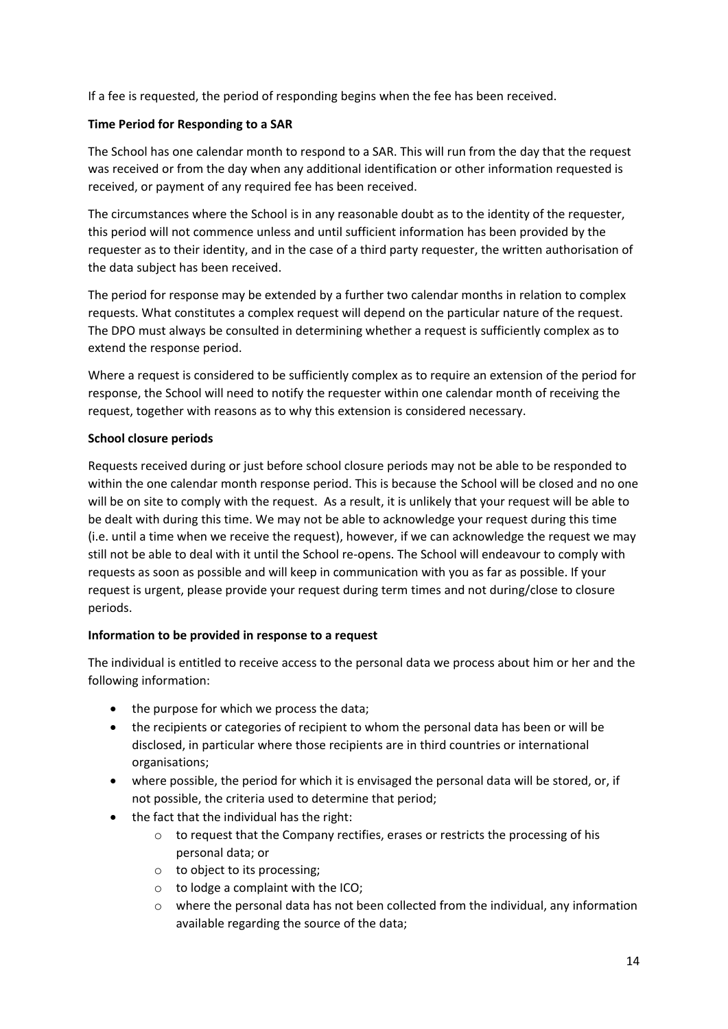If a fee is requested, the period of responding begins when the fee has been received.

#### **Time Period for Responding to a SAR**

The School has one calendar month to respond to a SAR. This will run from the day that the request was received or from the day when any additional identification or other information requested is received, or payment of any required fee has been received.

The circumstances where the School is in any reasonable doubt as to the identity of the requester, this period will not commence unless and until sufficient information has been provided by the requester as to their identity, and in the case of a third party requester, the written authorisation of the data subject has been received.

The period for response may be extended by a further two calendar months in relation to complex requests. What constitutes a complex request will depend on the particular nature of the request. The DPO must always be consulted in determining whether a request is sufficiently complex as to extend the response period.

Where a request is considered to be sufficiently complex as to require an extension of the period for response, the School will need to notify the requester within one calendar month of receiving the request, together with reasons as to why this extension is considered necessary.

#### **School closure periods**

Requests received during or just before school closure periods may not be able to be responded to within the one calendar month response period. This is because the School will be closed and no one will be on site to comply with the request. As a result, it is unlikely that your request will be able to be dealt with during this time. We may not be able to acknowledge your request during this time (i.e. until a time when we receive the request), however, if we can acknowledge the request we may still not be able to deal with it until the School re-opens. The School will endeavour to comply with requests as soon as possible and will keep in communication with you as far as possible. If your request is urgent, please provide your request during term times and not during/close to closure periods.

#### **Information to be provided in response to a request**

The individual is entitled to receive access to the personal data we process about him or her and the following information:

- the purpose for which we process the data;
- the recipients or categories of recipient to whom the personal data has been or will be disclosed, in particular where those recipients are in third countries or international organisations;
- where possible, the period for which it is envisaged the personal data will be stored, or, if not possible, the criteria used to determine that period;
- the fact that the individual has the right:
	- o to request that the Company rectifies, erases or restricts the processing of his personal data; or
	- o to object to its processing;
	- o to lodge a complaint with the ICO;
	- $\circ$  where the personal data has not been collected from the individual, any information available regarding the source of the data;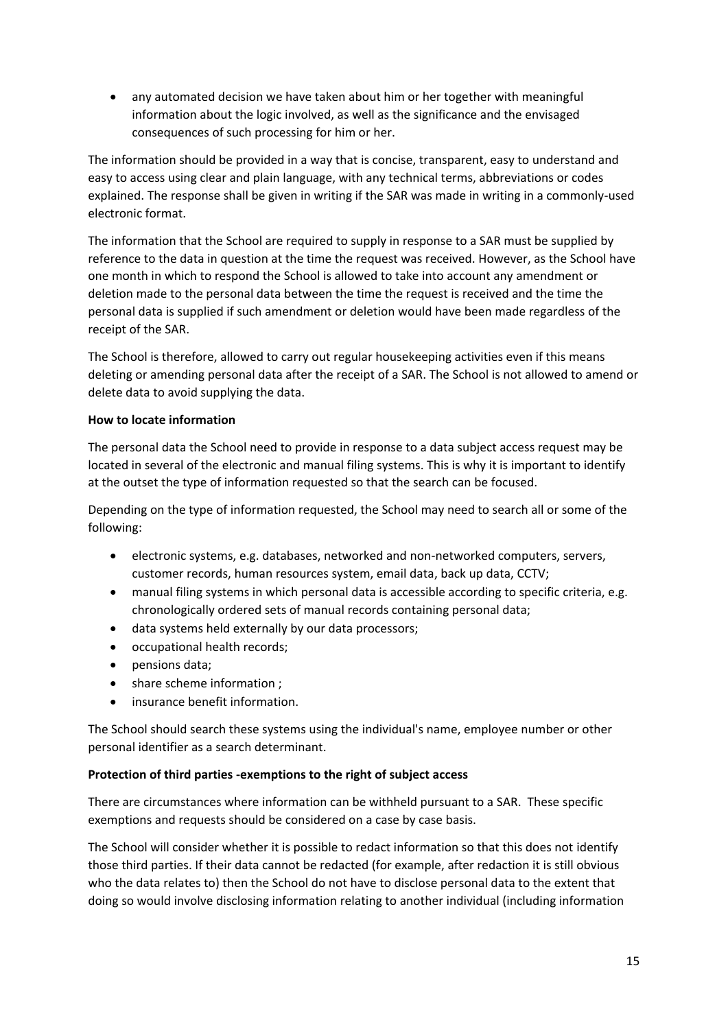• any automated decision we have taken about him or her together with meaningful information about the logic involved, as well as the significance and the envisaged consequences of such processing for him or her.

The information should be provided in a way that is concise, transparent, easy to understand and easy to access using clear and plain language, with any technical terms, abbreviations or codes explained. The response shall be given in writing if the SAR was made in writing in a commonly-used electronic format.

The information that the School are required to supply in response to a SAR must be supplied by reference to the data in question at the time the request was received. However, as the School have one month in which to respond the School is allowed to take into account any amendment or deletion made to the personal data between the time the request is received and the time the personal data is supplied if such amendment or deletion would have been made regardless of the receipt of the SAR.

The School is therefore, allowed to carry out regular housekeeping activities even if this means deleting or amending personal data after the receipt of a SAR. The School is not allowed to amend or delete data to avoid supplying the data.

#### **How to locate information**

The personal data the School need to provide in response to a data subject access request may be located in several of the electronic and manual filing systems. This is why it is important to identify at the outset the type of information requested so that the search can be focused.

Depending on the type of information requested, the School may need to search all or some of the following:

- electronic systems, e.g. databases, networked and non-networked computers, servers, customer records, human resources system, email data, back up data, CCTV;
- manual filing systems in which personal data is accessible according to specific criteria, e.g. chronologically ordered sets of manual records containing personal data;
- data systems held externally by our data processors;
- occupational health records;
- pensions data;
- share scheme information ;
- insurance benefit information.

The School should search these systems using the individual's name, employee number or other personal identifier as a search determinant.

# **Protection of third parties -exemptions to the right of subject access**

There are circumstances where information can be withheld pursuant to a SAR. These specific exemptions and requests should be considered on a case by case basis.

The School will consider whether it is possible to redact information so that this does not identify those third parties. If their data cannot be redacted (for example, after redaction it is still obvious who the data relates to) then the School do not have to disclose personal data to the extent that doing so would involve disclosing information relating to another individual (including information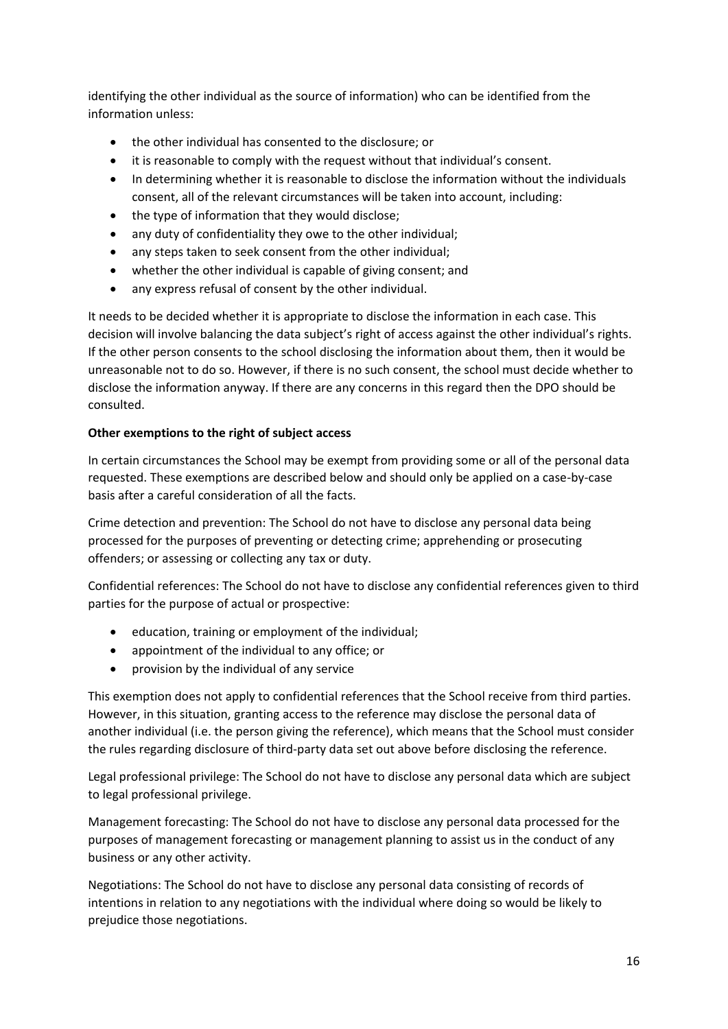identifying the other individual as the source of information) who can be identified from the information unless:

- the other individual has consented to the disclosure; or
- it is reasonable to comply with the request without that individual's consent.
- In determining whether it is reasonable to disclose the information without the individuals consent, all of the relevant circumstances will be taken into account, including:
- the type of information that they would disclose;
- any duty of confidentiality they owe to the other individual;
- any steps taken to seek consent from the other individual;
- whether the other individual is capable of giving consent; and
- any express refusal of consent by the other individual.

It needs to be decided whether it is appropriate to disclose the information in each case. This decision will involve balancing the data subject's right of access against the other individual's rights. If the other person consents to the school disclosing the information about them, then it would be unreasonable not to do so. However, if there is no such consent, the school must decide whether to disclose the information anyway. If there are any concerns in this regard then the DPO should be consulted.

# **Other exemptions to the right of subject access**

In certain circumstances the School may be exempt from providing some or all of the personal data requested. These exemptions are described below and should only be applied on a case-by-case basis after a careful consideration of all the facts.

Crime detection and prevention: The School do not have to disclose any personal data being processed for the purposes of preventing or detecting crime; apprehending or prosecuting offenders; or assessing or collecting any tax or duty.

Confidential references: The School do not have to disclose any confidential references given to third parties for the purpose of actual or prospective:

- education, training or employment of the individual;
- appointment of the individual to any office; or
- provision by the individual of any service

This exemption does not apply to confidential references that the School receive from third parties. However, in this situation, granting access to the reference may disclose the personal data of another individual (i.e. the person giving the reference), which means that the School must consider the rules regarding disclosure of third-party data set out above before disclosing the reference.

Legal professional privilege: The School do not have to disclose any personal data which are subject to legal professional privilege.

Management forecasting: The School do not have to disclose any personal data processed for the purposes of management forecasting or management planning to assist us in the conduct of any business or any other activity.

Negotiations: The School do not have to disclose any personal data consisting of records of intentions in relation to any negotiations with the individual where doing so would be likely to prejudice those negotiations.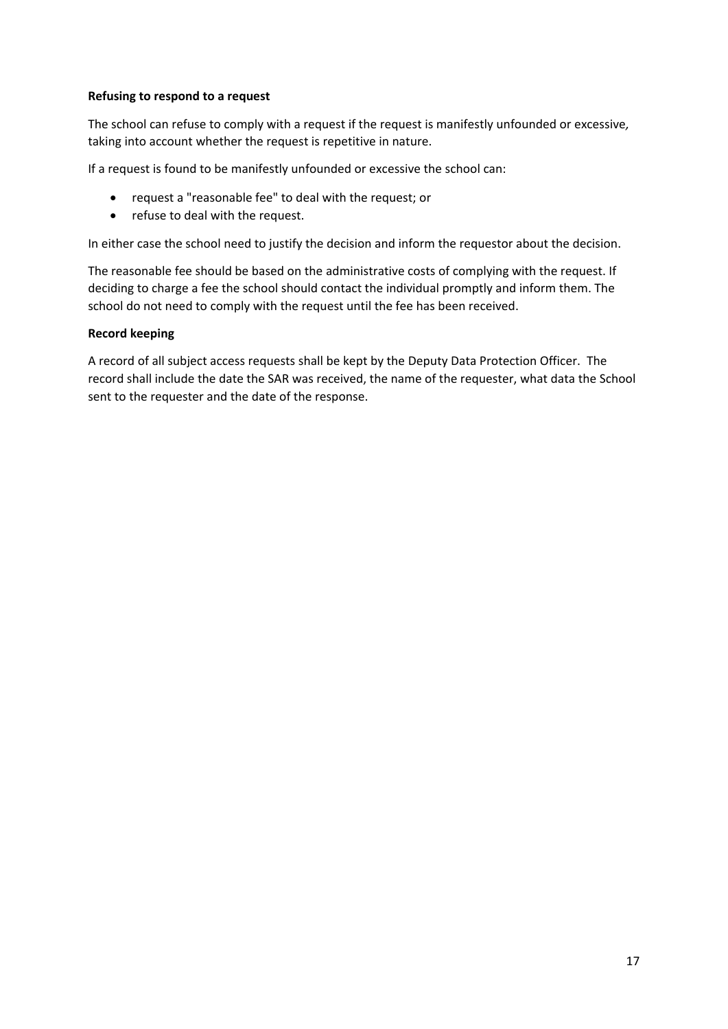#### **Refusing to respond to a request**

The school can refuse to comply with a request if the request is manifestly unfounded or excessive*,*  taking into account whether the request is repetitive in nature.

If a request is found to be manifestly unfounded or excessive the school can:

- request a "reasonable fee" to deal with the request; or
- refuse to deal with the request.

In either case the school need to justify the decision and inform the requestor about the decision.

The reasonable fee should be based on the administrative costs of complying with the request. If deciding to charge a fee the school should contact the individual promptly and inform them. The school do not need to comply with the request until the fee has been received.

#### **Record keeping**

A record of all subject access requests shall be kept by the Deputy Data Protection Officer. The record shall include the date the SAR was received, the name of the requester, what data the School sent to the requester and the date of the response.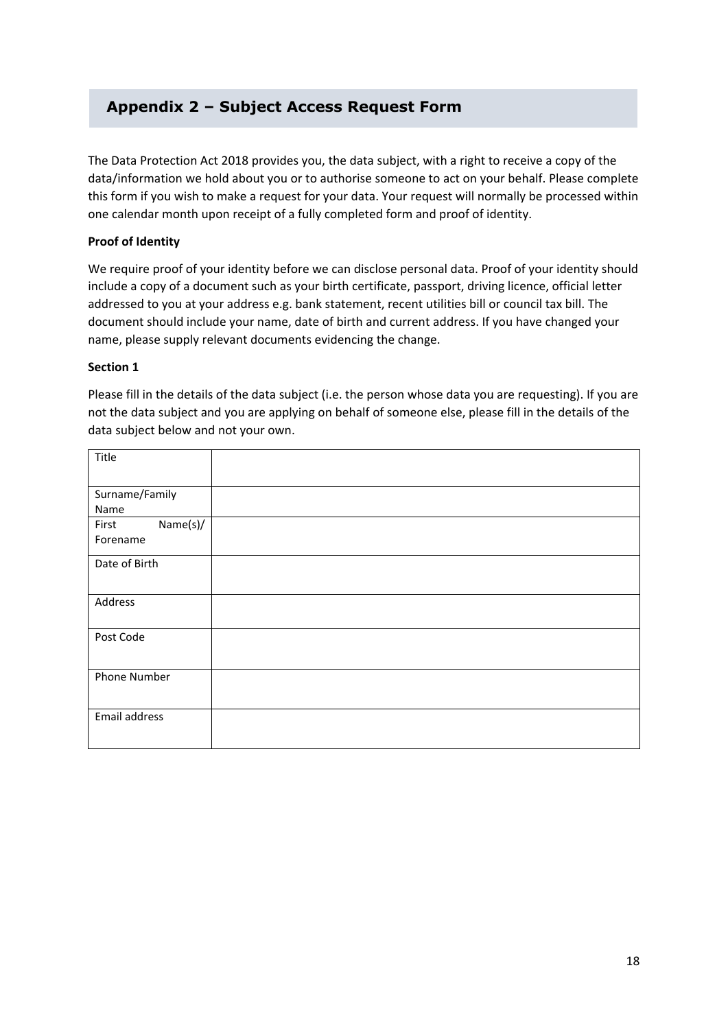# **Appendix 2 – Subject Access Request Form**

The Data Protection Act 2018 provides you, the data subject, with a right to receive a copy of the data/information we hold about you or to authorise someone to act on your behalf. Please complete this form if you wish to make a request for your data. Your request will normally be processed within one calendar month upon receipt of a fully completed form and proof of identity.

#### **Proof of Identity**

We require proof of your identity before we can disclose personal data. Proof of your identity should include a copy of a document such as your birth certificate, passport, driving licence, official letter addressed to you at your address e.g. bank statement, recent utilities bill or council tax bill. The document should include your name, date of birth and current address. If you have changed your name, please supply relevant documents evidencing the change.

#### **Section 1**

Please fill in the details of the data subject (i.e. the person whose data you are requesting). If you are not the data subject and you are applying on behalf of someone else, please fill in the details of the data subject below and not your own.

| Title             |  |
|-------------------|--|
| Surname/Family    |  |
| Name              |  |
| Name(s)/<br>First |  |
| Forename          |  |
| Date of Birth     |  |
| Address           |  |
| Post Code         |  |
| Phone Number      |  |
| Email address     |  |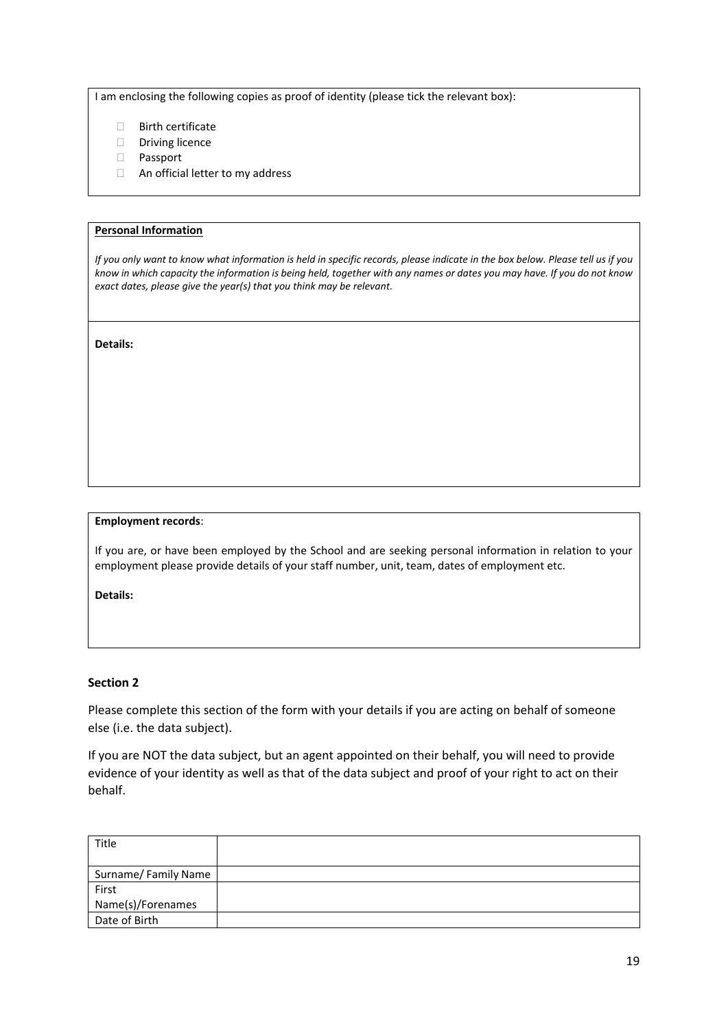I am enclosing the following copies as proof of identity (please tick the relevant box):

- **Birth certificate**
- Driving licence
- Passport
- □ An official letter to my address

#### **Personal Information**

*If you only want to know what information is held in specific records, please indicate in the box below. Please tell us if you know in which capacity the information is being held, together with any names or dates you may have. If you do not know exact dates, please give the year(s) that you think may be relevant.* 

**Details:** 

#### **Employment records**:

If you are, or have been employed by the School and are seeking personal information in relation to your employment please provide details of your staff number, unit, team, dates of employment etc.

**Details:**

#### **Section 2**

Please complete this section of the form with your details if you are acting on behalf of someone else (i.e. the data subject).

If you are NOT the data subject, but an agent appointed on their behalf, you will need to provide evidence of your identity as well as that of the data subject and proof of your right to act on their behalf.

| Title               |  |
|---------------------|--|
| Surname/Family Name |  |
| First               |  |
| Name(s)/Forenames   |  |
| Date of Birth       |  |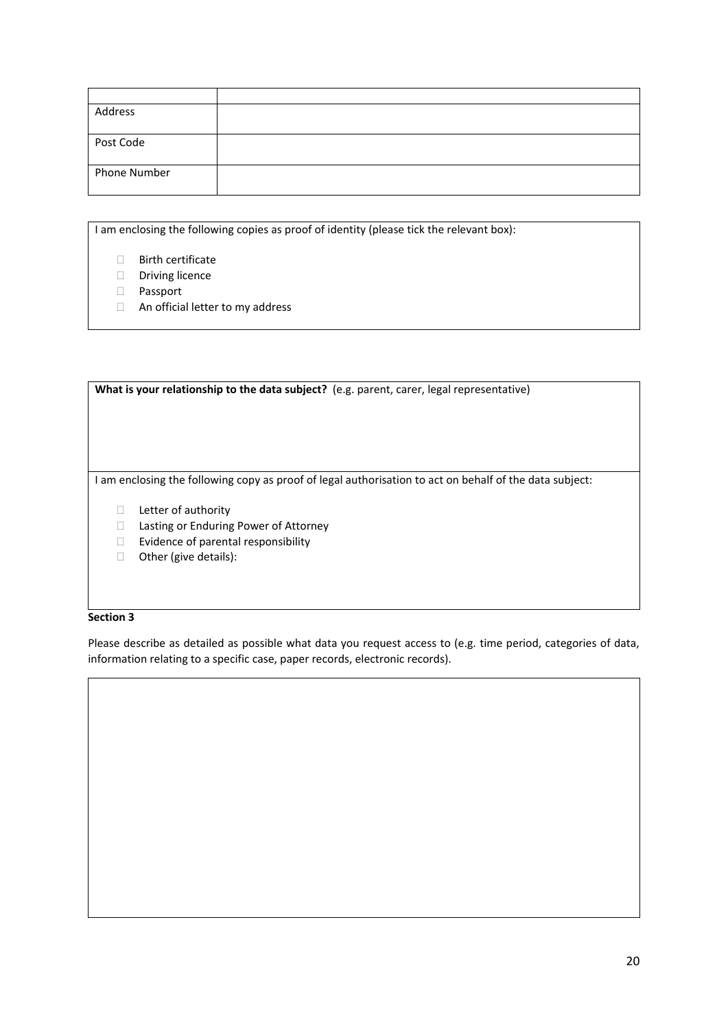| Address      |  |
|--------------|--|
|              |  |
| Post Code    |  |
|              |  |
| Phone Number |  |
|              |  |

I am enclosing the following copies as proof of identity (please tick the relevant box):

- Birth certificate
- Driving licence
- Passport
- An official letter to my address

| What is your relationship to the data subject? (e.g. parent, carer, legal representative)             |  |  |
|-------------------------------------------------------------------------------------------------------|--|--|
|                                                                                                       |  |  |
|                                                                                                       |  |  |
|                                                                                                       |  |  |
|                                                                                                       |  |  |
|                                                                                                       |  |  |
|                                                                                                       |  |  |
| am enclosing the following copy as proof of legal authorisation to act on behalf of the data subject: |  |  |
|                                                                                                       |  |  |
| Letter of authority                                                                                   |  |  |
| Lasting or Enduring Power of Attorney<br>$\mathbf{I}$                                                 |  |  |
| Evidence of parental responsibility                                                                   |  |  |
|                                                                                                       |  |  |

□ Other (give details):

#### **Section 3**

Please describe as detailed as possible what data you request access to (e.g. time period, categories of data, information relating to a specific case, paper records, electronic records).